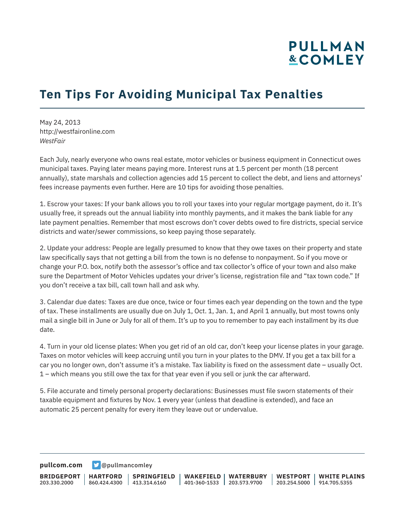# **PULLMAN &COMLEY**

## **Ten Tips For Avoiding Municipal Tax Penalties**

May 24, 2013 http://westfaironline.com *WestFair*

Each July, nearly everyone who owns real estate, motor vehicles or business equipment in Connecticut owes municipal taxes. Paying later means paying more. Interest runs at 1.5 percent per month (18 percent annually), state marshals and collection agencies add 15 percent to collect the debt, and liens and attorneys' fees increase payments even further. Here are 10 tips for avoiding those penalties.

1. Escrow your taxes: If your bank allows you to roll your taxes into your regular mortgage payment, do it. It's usually free, it spreads out the annual liability into monthly payments, and it makes the bank liable for any late payment penalties. Remember that most escrows don't cover debts owed to fire districts, special service districts and water/sewer commissions, so keep paying those separately.

2. Update your address: People are legally presumed to know that they owe taxes on their property and state law specifically says that not getting a bill from the town is no defense to nonpayment. So if you move or change your P.O. box, notify both the assessor's office and tax collector's office of your town and also make sure the Department of Motor Vehicles updates your driver's license, registration file and "tax town code." If you don't receive a tax bill, call town hall and ask why.

3. Calendar due dates: Taxes are due once, twice or four times each year depending on the town and the type of tax. These installments are usually due on July 1, Oct. 1, Jan. 1, and April 1 annually, but most towns only mail a single bill in June or July for all of them. It's up to you to remember to pay each installment by its due date.

4. Turn in your old license plates: When you get rid of an old car, don't keep your license plates in your garage. Taxes on motor vehicles will keep accruing until you turn in your plates to the DMV. If you get a tax bill for a car you no longer own, don't assume it's a mistake. Tax liability is fixed on the assessment date – usually Oct. 1 – which means you still owe the tax for that year even if you sell or junk the car afterward.

5. File accurate and timely personal property declarations: Businesses must file sworn statements of their taxable equipment and fixtures by Nov. 1 every year (unless that deadline is extended), and face an automatic 25 percent penalty for every item they leave out or undervalue.

**[pullcom.com](https://www.pullcom.com) g** [@pullmancomley](https://twitter.com/PullmanComley)

**BRIDGEPORT** 203.330.2000 **HARTFORD** 860.424.4300 413.314.6160 **SPRINGFIELD WAKEFIELD WATERBURY** 401-360-1533 203.573.9700 **WESTPORT WHITE PLAINS** 203.254.5000 914.705.5355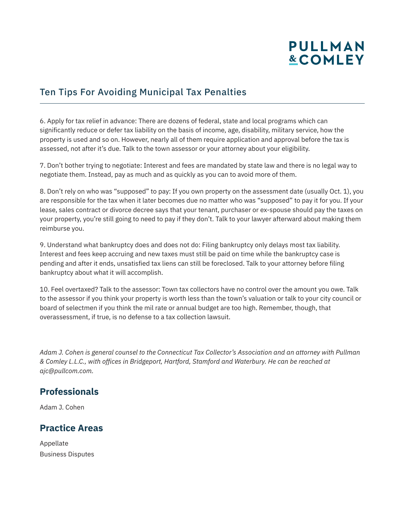# **PULLMAN &COMLEY**

### Ten Tips For Avoiding Municipal Tax Penalties

6. Apply for tax relief in advance: There are dozens of federal, state and local programs which can significantly reduce or defer tax liability on the basis of income, age, disability, military service, how the property is used and so on. However, nearly all of them require application and approval before the tax is assessed, not after it's due. Talk to the town assessor or your attorney about your eligibility.

7. Don't bother trying to negotiate: Interest and fees are mandated by state law and there is no legal way to negotiate them. Instead, pay as much and as quickly as you can to avoid more of them.

8. Don't rely on who was "supposed" to pay: If you own property on the assessment date (usually Oct. 1), you are responsible for the tax when it later becomes due no matter who was "supposed" to pay it for you. If your lease, sales contract or divorce decree says that your tenant, purchaser or ex-spouse should pay the taxes on your property, you're still going to need to pay if they don't. Talk to your lawyer afterward about making them reimburse you.

9. Understand what bankruptcy does and does not do: Filing bankruptcy only delays most tax liability. Interest and fees keep accruing and new taxes must still be paid on time while the bankruptcy case is pending and after it ends, unsatisfied tax liens can still be foreclosed. Talk to your attorney before filing bankruptcy about what it will accomplish.

10. Feel overtaxed? Talk to the assessor: Town tax collectors have no control over the amount you owe. Talk to the assessor if you think your property is worth less than the town's valuation or talk to your city council or board of selectmen if you think the mil rate or annual budget are too high. Remember, though, that overassessment, if true, is no defense to a tax collection lawsuit.

*Adam J. Cohen is general counsel to the Connecticut Tax Collector's Association and an attorney with Pullman & Comley L.L.C., with offices in Bridgeport, Hartford, Stamford and Waterbury. He can be reached at ajc@pullcom.com.* 

#### **Professionals**

Adam J. Cohen

#### **Practice Areas**

Appellate Business Disputes